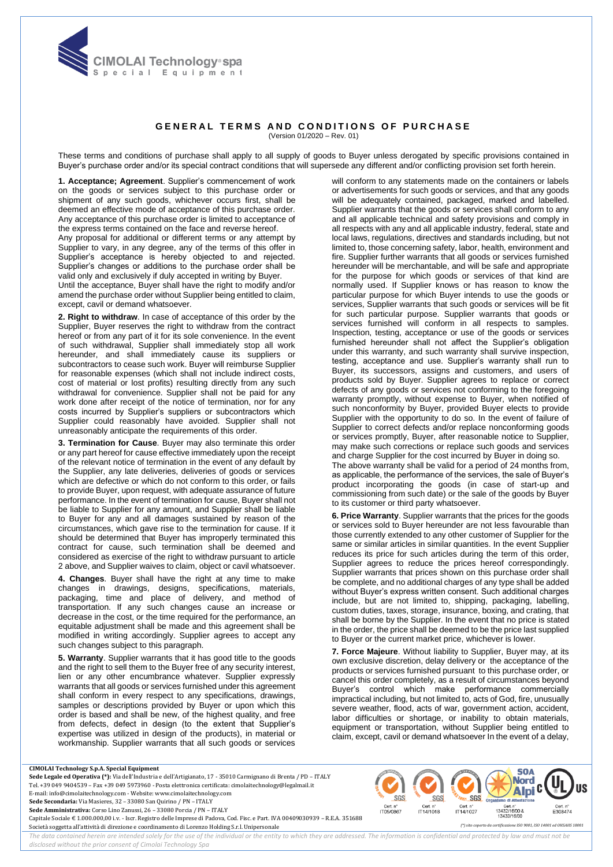

## **GENERAL TERMS AND CONDITIONS OF PURCHASE** (Version 01/2020 – Rev. 01)

These terms and conditions of purchase shall apply to all supply of goods to Buyer unless derogated by specific provisions contained in Buyer's purchase order and/or its special contract conditions that will supersede any different and/or conflicting provision set forth herein.

**1. Acceptance; Agreement**. Supplier's commencement of work on the goods or services subject to this purchase order or shipment of any such goods, whichever occurs first, shall be deemed an effective mode of acceptance of this purchase order. Any acceptance of this purchase order is limited to acceptance of the express terms contained on the face and reverse hereof.

Any proposal for additional or different terms or any attempt by Supplier to vary, in any degree, any of the terms of this offer in Supplier's acceptance is hereby objected to and rejected. Supplier's changes or additions to the purchase order shall be valid only and exclusively if duly accepted in writing by Buyer.

Until the acceptance, Buyer shall have the right to modify and/or amend the purchase order without Supplier being entitled to claim, except, cavil or demand whatsoever.

**2. Right to withdraw**. In case of acceptance of this order by the Supplier, Buyer reserves the right to withdraw from the contract hereof or from any part of it for its sole convenience. In the event of such withdrawal, Supplier shall immediately stop all work hereunder, and shall immediately cause its suppliers or subcontractors to cease such work. Buyer will reimburse Supplier for reasonable expenses (which shall not include indirect costs, cost of material or lost profits) resulting directly from any such withdrawal for convenience. Supplier shall not be paid for any work done after receipt of the notice of termination, nor for any costs incurred by Supplier's suppliers or subcontractors which Supplier could reasonably have avoided. Supplier shall not unreasonably anticipate the requirements of this order.

**3. Termination for Cause**. Buyer may also terminate this order or any part hereof for cause effective immediately upon the receipt of the relevant notice of termination in the event of any default by the Supplier, any late deliveries, deliveries of goods or services which are defective or which do not conform to this order, or fails to provide Buyer, upon request, with adequate assurance of future performance. In the event of termination for cause, Buyer shall not be liable to Supplier for any amount, and Supplier shall be liable to Buyer for any and all damages sustained by reason of the circumstances, which gave rise to the termination for cause. If it should be determined that Buyer has improperly terminated this contract for cause, such termination shall be deemed and considered as exercise of the right to withdraw pursuant to article 2 above, and Supplier waives to claim, object or cavil whatsoever.

**4. Changes**. Buyer shall have the right at any time to make changes in drawings, designs, specifications, materials, packaging, time and place of delivery, and method of transportation. If any such changes cause an increase or decrease in the cost, or the time required for the performance, an equitable adjustment shall be made and this agreement shall be modified in writing accordingly. Supplier agrees to accept any such changes subject to this paragraph.

**5. Warranty**. Supplier warrants that it has good title to the goods and the right to sell them to the Buyer free of any security interest, lien or any other encumbrance whatever. Supplier expressly warrants that all goods or services furnished under this agreement shall conform in every respect to any specifications, drawings, samples or descriptions provided by Buyer or upon which this order is based and shall be new, of the highest quality, and free from defects, defect in design (to the extent that Supplier's expertise was utilized in design of the products), in material or workmanship. Supplier warrants that all such goods or services will conform to any statements made on the containers or labels or advertisements for such goods or services, and that any goods will be adequately contained, packaged, marked and labelled. Supplier warrants that the goods or services shall conform to any and all applicable technical and safety provisions and comply in all respects with any and all applicable industry, federal, state and local laws, regulations, directives and standards including, but not limited to, those concerning safety, labor, health, environment and fire. Supplier further warrants that all goods or services furnished hereunder will be merchantable, and will be safe and appropriate for the purpose for which goods or services of that kind are normally used. If Supplier knows or has reason to know the particular purpose for which Buyer intends to use the goods or services, Supplier warrants that such goods or services will be fit for such particular purpose. Supplier warrants that goods or services furnished will conform in all respects to samples. Inspection, testing, acceptance or use of the goods or services furnished hereunder shall not affect the Supplier's obligation under this warranty, and such warranty shall survive inspection, testing, acceptance and use. Supplier's warranty shall run to Buyer, its successors, assigns and customers, and users of products sold by Buyer. Supplier agrees to replace or correct defects of any goods or services not conforming to the foregoing warranty promptly, without expense to Buyer, when notified of such nonconformity by Buyer, provided Buyer elects to provide Supplier with the opportunity to do so. In the event of failure of Supplier to correct defects and/or replace nonconforming goods or services promptly, Buyer, after reasonable notice to Supplier, may make such corrections or replace such goods and services and charge Supplier for the cost incurred by Buyer in doing so.

The above warranty shall be valid for a period of 24 months from, as applicable, the performance of the services, the sale of Buyer's product incorporating the goods (in case of start-up and commissioning from such date) or the sale of the goods by Buyer to its customer or third party whatsoever.

**6. Price Warranty**. Supplier warrants that the prices for the goods or services sold to Buyer hereunder are not less favourable than those currently extended to any other customer of Supplier for the same or similar articles in similar quantities. In the event Supplier reduces its price for such articles during the term of this order, Supplier agrees to reduce the prices hereof correspondingly. Supplier warrants that prices shown on this purchase order shall be complete, and no additional charges of any type shall be added without Buyer's express written consent. Such additional charges include, but are not limited to, shipping, packaging, labelling, custom duties, taxes, storage, insurance, boxing, and crating, that shall be borne by the Supplier. In the event that no price is stated in the order, the price shall be deemed to be the price last supplied to Buyer or the current market price, whichever is lower.

**7. Force Majeure**. Without liability to Supplier, Buyer may, at its own exclusive discretion, delay delivery or the acceptance of the products or services furnished pursuant to this purchase order, or cancel this order completely, as a result of circumstances beyond Buyer's control which make performance commercially impractical including, but not limited to, acts of God, fire, unusually severe weather, flood, acts of war, government action, accident, labor difficulties or shortage, or inability to obtain materials, equipment or transportation, without Supplier being entitled to claim, except, cavil or demand whatsoever In the event of a delay,

SGS

IT14/1018

 $m$  SGS

IT14/1027

SGS

n: uert: n<br>105/0867

**SOA Nord Alpi** 

E308474

"Cert. n<br>13432/16/00

13433/16/00

## **CIMOLAI Technology S.p.A. Special Equipment**

**Sede Legale ed Operativa (\*):** Via dell'Industria e dell'Artigianato, 17 - 35010 Carmignano di Brenta / PD – ITALY Tel. +39 049 9404539 – Fax +39 049 5973960 - Posta elettronica certificata: cimolaitechnology@legalmail.it E-mail: info@cimolaitechnology.com - Website: www.cimolaitechnology.com **Sede Secondaria:** Via Masieres, 32 – 33080 San Quirino / PN – ITALY **Sede Amministrativa:** Corso Lino Zanussi, 26 – 33080 Porcia / PN – ITALY Capitale Sociale € 1.000.000,00 i.v. - Iscr. Registro delle Imprese di Padova, Cod. Fisc. e Part. IVA 00409030939 – R.E.A. 351688

Società soggetta all'attività di direzione e coordinamento di Lorenzo Holding S.r.l. Unipersonale *(\*) sito coperto da certificazione ISO 9001, ISO 14001 ed OHSAHS 18001*

The data contained herein are intended solely for the use of the individual or the entity to which they are addressed. The information is confidential and protected by law and must not be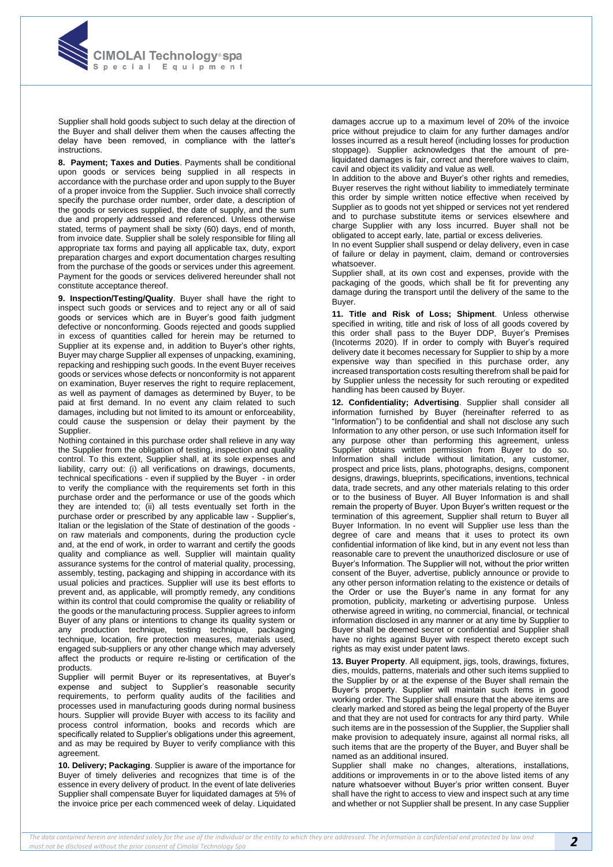

Supplier shall hold goods subject to such delay at the direction of the Buyer and shall deliver them when the causes affecting the delay have been removed, in compliance with the latter's instructions.

**8. Payment; Taxes and Duties**. Payments shall be conditional upon goods or services being supplied in all respects in accordance with the purchase order and upon supply to the Buyer of a proper invoice from the Supplier. Such invoice shall correctly specify the purchase order number, order date, a description of the goods or services supplied, the date of supply, and the sum due and properly addressed and referenced. Unless otherwise stated, terms of payment shall be sixty (60) days, end of month, from invoice date. Supplier shall be solely responsible for filing all appropriate tax forms and paying all applicable tax, duty, export preparation charges and export documentation charges resulting from the purchase of the goods or services under this agreement. Payment for the goods or services delivered hereunder shall not constitute acceptance thereof.

**9. Inspection/Testing/Quality**. Buyer shall have the right to inspect such goods or services and to reject any or all of said goods or services which are in Buyer's good faith judgment defective or nonconforming. Goods rejected and goods supplied in excess of quantities called for herein may be returned to Supplier at its expense and, in addition to Buyer's other rights, Buyer may charge Supplier all expenses of unpacking, examining, repacking and reshipping such goods. In the event Buyer receives goods or services whose defects or nonconformity is not apparent on examination, Buyer reserves the right to require replacement, as well as payment of damages as determined by Buyer, to be paid at first demand. In no event any claim related to such damages, including but not limited to its amount or enforceability, could cause the suspension or delay their payment by the Supplier.

Nothing contained in this purchase order shall relieve in any way the Supplier from the obligation of testing, inspection and quality control. To this extent, Supplier shall, at its sole expenses and liability, carry out: (i) all verifications on drawings, documents, technical specifications - even if supplied by the Buyer - in order to verify the compliance with the requirements set forth in this purchase order and the performance or use of the goods which they are intended to; (ii) all tests eventually set forth in the purchase order or prescribed by any applicable law - Supplier's, Italian or the legislation of the State of destination of the goods on raw materials and components, during the production cycle and, at the end of work, in order to warrant and certify the goods quality and compliance as well. Supplier will maintain quality assurance systems for the control of material quality, processing, assembly, testing, packaging and shipping in accordance with its usual policies and practices. Supplier will use its best efforts to prevent and, as applicable, will promptly remedy, any conditions within its control that could compromise the quality or reliability of the goods or the manufacturing process. Supplier agrees to inform Buyer of any plans or intentions to change its quality system or any production technique, testing technique, packaging technique, location, fire protection measures, materials used, engaged sub-suppliers or any other change which may adversely affect the products or require re-listing or certification of the products.

Supplier will permit Buyer or its representatives, at Buyer's expense and subject to Supplier's reasonable security requirements, to perform quality audits of the facilities and processes used in manufacturing goods during normal business hours. Supplier will provide Buyer with access to its facility and process control information, books and records which are specifically related to Supplier's obligations under this agreement, and as may be required by Buyer to verify compliance with this agreement.

**10. Delivery; Packaging**. Supplier is aware of the importance for Buyer of timely deliveries and recognizes that time is of the essence in every delivery of product. In the event of late deliveries Supplier shall compensate Buyer for liquidated damages at 5% of the invoice price per each commenced week of delay. Liquidated damages accrue up to a maximum level of 20% of the invoice price without prejudice to claim for any further damages and/or losses incurred as a result hereof (including losses for production stoppage). Supplier acknowledges that the amount of preliquidated damages is fair, correct and therefore waives to claim, cavil and object its validity and value as well.

In addition to the above and Buyer's other rights and remedies, Buyer reserves the right without liability to immediately terminate this order by simple written notice effective when received by Supplier as to goods not yet shipped or services not yet rendered and to purchase substitute items or services elsewhere and charge Supplier with any loss incurred. Buyer shall not be obligated to accept early, late, partial or excess deliveries.

In no event Supplier shall suspend or delay delivery, even in case of failure or delay in payment, claim, demand or controversies whatsoever.

Supplier shall, at its own cost and expenses, provide with the packaging of the goods, which shall be fit for preventing any damage during the transport until the delivery of the same to the Buyer.

**11. Title and Risk of Loss; Shipment**. Unless otherwise specified in writing, title and risk of loss of all goods covered by this order shall pass to the Buyer DDP, Buyer's Premises (Incoterms 2020). If in order to comply with Buyer's required delivery date it becomes necessary for Supplier to ship by a more expensive way than specified in this purchase order, any increased transportation costs resulting therefrom shall be paid for by Supplier unless the necessity for such rerouting or expedited handling has been caused by Buyer.

**12. Confidentiality; Advertising**. Supplier shall consider all information furnished by Buyer (hereinafter referred to as "Information") to be confidential and shall not disclose any such Information to any other person, or use such Information itself for any purpose other than performing this agreement, unless Supplier obtains written permission from Buyer to do so. Information shall include without limitation, any customer, prospect and price lists, plans, photographs, designs, component designs, drawings, blueprints, specifications, inventions, technical data, trade secrets, and any other materials relating to this order or to the business of Buyer. All Buyer Information is and shall remain the property of Buyer. Upon Buyer's written request or the termination of this agreement, Supplier shall return to Buyer all Buyer Information. In no event will Supplier use less than the degree of care and means that it uses to protect its own confidential information of like kind, but in any event not less than reasonable care to prevent the unauthorized disclosure or use of Buyer's Information. The Supplier will not, without the prior written consent of the Buyer, advertise, publicly announce or provide to any other person information relating to the existence or details of the Order or use the Buyer's name in any format for any promotion, publicity, marketing or advertising purpose. Unless otherwise agreed in writing, no commercial, financial, or technical information disclosed in any manner or at any time by Supplier to Buyer shall be deemed secret or confidential and Supplier shall have no rights against Buyer with respect thereto except such rights as may exist under patent laws.

**13. Buyer Property**. All equipment, jigs, tools, drawings, fixtures, dies, moulds, patterns, materials and other such items supplied to the Supplier by or at the expense of the Buyer shall remain the Buyer's property. Supplier will maintain such items in good working order. The Supplier shall ensure that the above items are clearly marked and stored as being the legal property of the Buyer and that they are not used for contracts for any third party. While such items are in the possession of the Supplier, the Supplier shall make provision to adequately insure, against all normal risks, all such items that are the property of the Buyer, and Buyer shall be named as an additional insured.

Supplier shall make no changes, alterations, installations, additions or improvements in or to the above listed items of any nature whatsoever without Buyer's prior written consent. Buyer shall have the right to access to view and inspect such at any time and whether or not Supplier shall be present. In any case Supplier